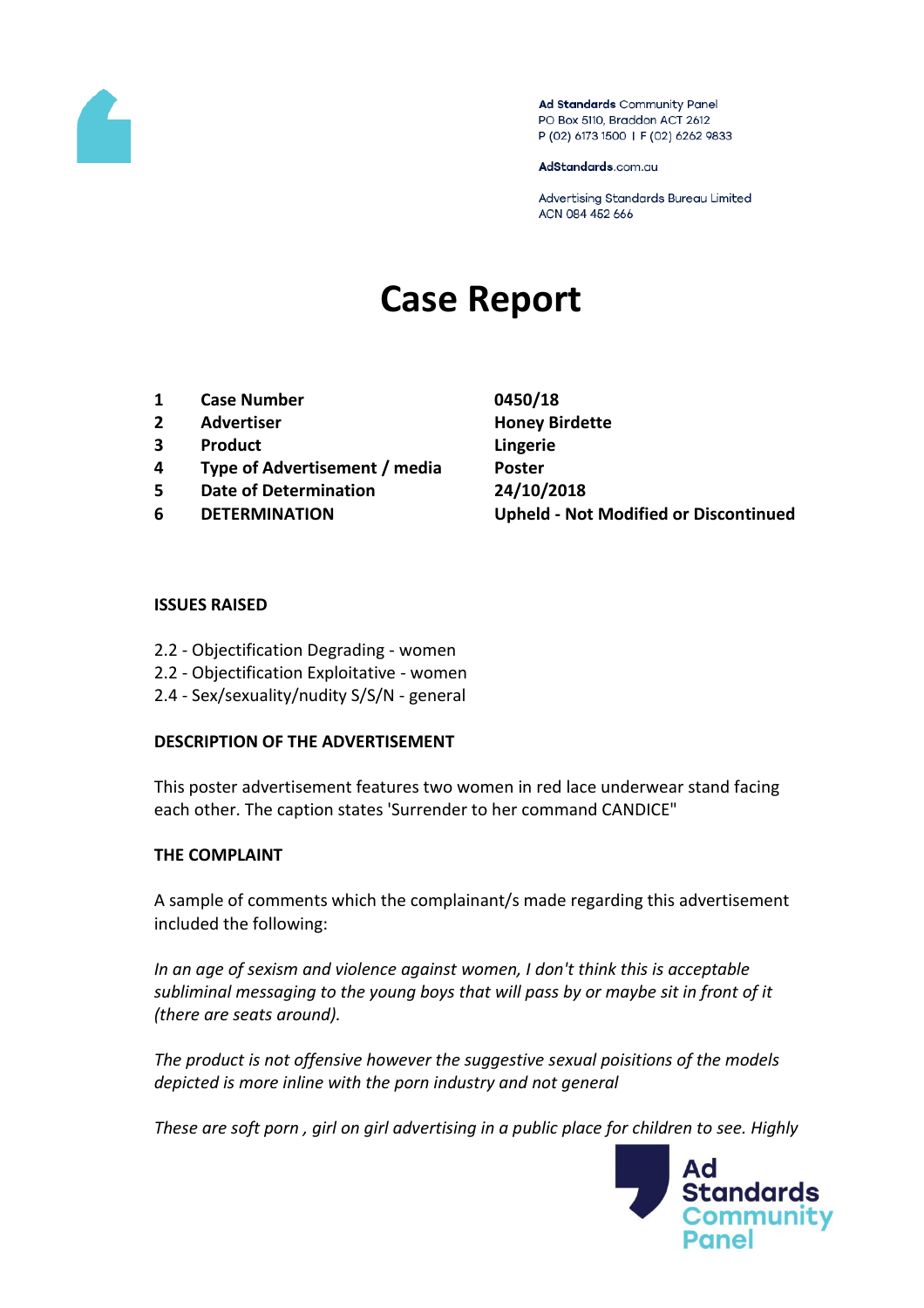

Ad Standards Community Panel PO Box 5110, Braddon ACT 2612 P (02) 6173 1500 | F (02) 6262 9833

AdStandards.com.au

Advertising Standards Bureau Limited ACN 084 452 666

# **Case Report**

- **1 Case Number 0450/18**
- **2 Advertiser Honey Birdette**
- **3 Product Lingerie**
- **4 Type of Advertisement / media Poster**
- **5 Date of Determination 24/10/2018**
- 

**6 DETERMINATION Upheld - Not Modified or Discontinued**

#### **ISSUES RAISED**

- 2.2 Objectification Degrading women
- 2.2 Objectification Exploitative women
- 2.4 Sex/sexuality/nudity S/S/N general

### **DESCRIPTION OF THE ADVERTISEMENT**

This poster advertisement features two women in red lace underwear stand facing each other. The caption states 'Surrender to her command CANDICE"

### **THE COMPLAINT**

A sample of comments which the complainant/s made regarding this advertisement included the following:

*In an age of sexism and violence against women, I don't think this is acceptable subliminal messaging to the young boys that will pass by or maybe sit in front of it (there are seats around).*

*The product is not offensive however the suggestive sexual poisitions of the models depicted is more inline with the porn industry and not general*

*These are soft porn , girl on girl advertising in a public place for children to see. Highly* 

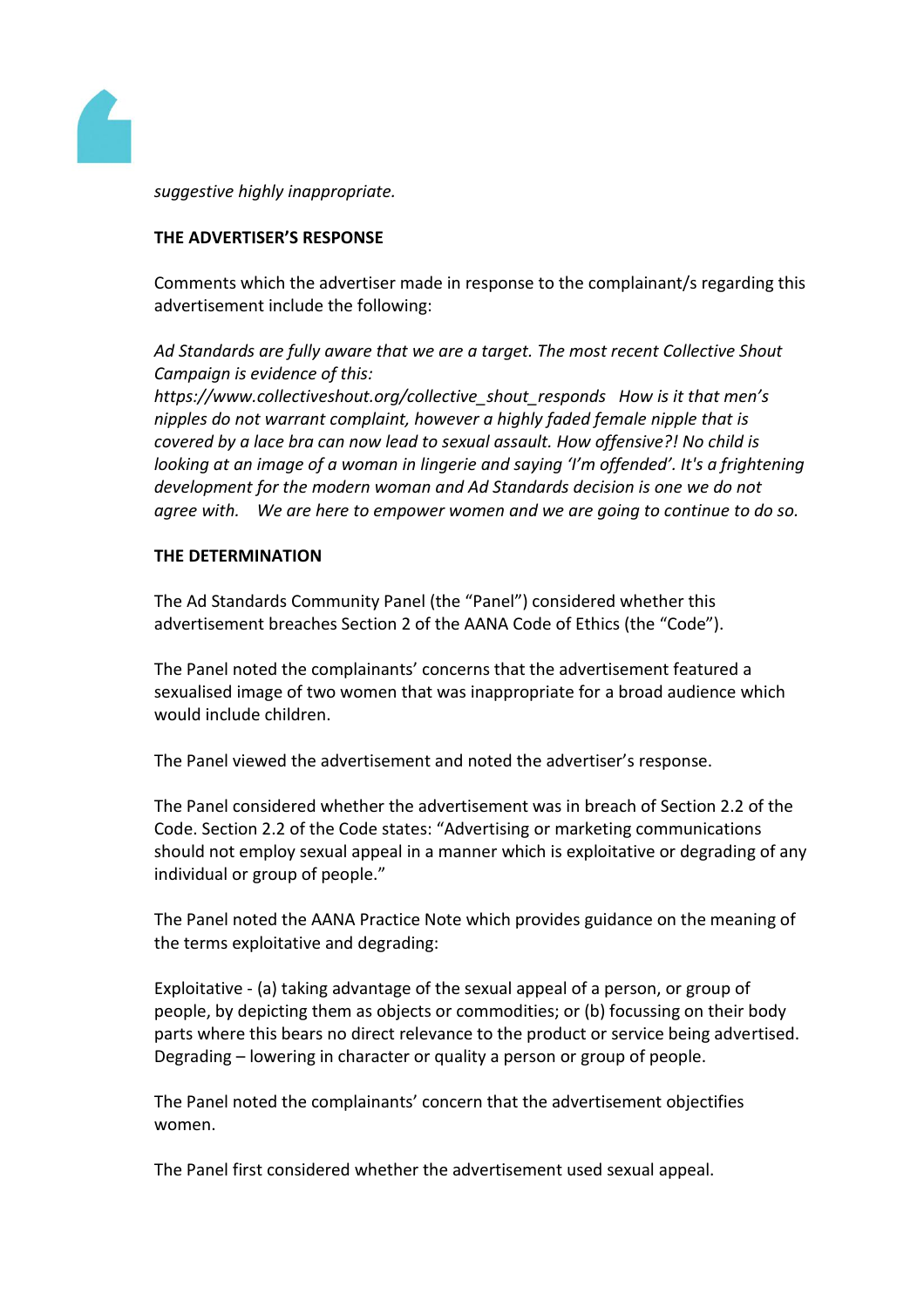

*suggestive highly inappropriate.*

## **THE ADVERTISER'S RESPONSE**

Comments which the advertiser made in response to the complainant/s regarding this advertisement include the following:

*Ad Standards are fully aware that we are a target. The most recent Collective Shout Campaign is evidence of this:* 

*https://www.collectiveshout.org/collective\_shout\_responds How is it that men's nipples do not warrant complaint, however a highly faded female nipple that is covered by a lace bra can now lead to sexual assault. How offensive?! No child is looking at an image of a woman in lingerie and saying 'I'm offended'. It's a frightening development for the modern woman and Ad Standards decision is one we do not agree with. We are here to empower women and we are going to continue to do so.*

### **THE DETERMINATION**

The Ad Standards Community Panel (the "Panel") considered whether this advertisement breaches Section 2 of the AANA Code of Ethics (the "Code").

The Panel noted the complainants' concerns that the advertisement featured a sexualised image of two women that was inappropriate for a broad audience which would include children.

The Panel viewed the advertisement and noted the advertiser's response.

The Panel considered whether the advertisement was in breach of Section 2.2 of the Code. Section 2.2 of the Code states: "Advertising or marketing communications should not employ sexual appeal in a manner which is exploitative or degrading of any individual or group of people."

The Panel noted the AANA Practice Note which provides guidance on the meaning of the terms exploitative and degrading:

Exploitative - (a) taking advantage of the sexual appeal of a person, or group of people, by depicting them as objects or commodities; or (b) focussing on their body parts where this bears no direct relevance to the product or service being advertised. Degrading – lowering in character or quality a person or group of people.

The Panel noted the complainants' concern that the advertisement objectifies women.

The Panel first considered whether the advertisement used sexual appeal.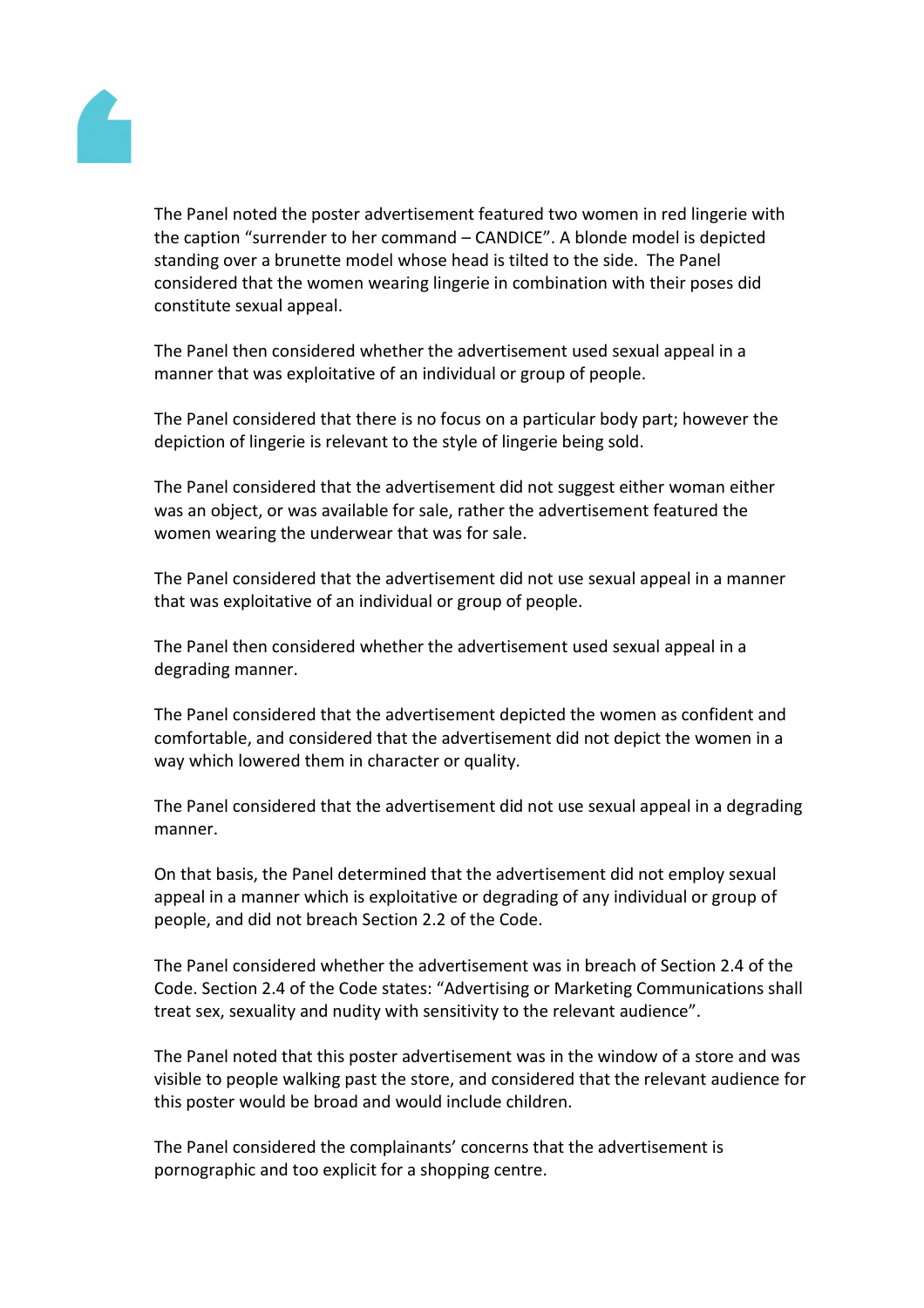

The Panel noted the poster advertisement featured two women in red lingerie with the caption "surrender to her command – CANDICE". A blonde model is depicted standing over a brunette model whose head is tilted to the side. The Panel considered that the women wearing lingerie in combination with their poses did constitute sexual appeal.

The Panel then considered whether the advertisement used sexual appeal in a manner that was exploitative of an individual or group of people.

The Panel considered that there is no focus on a particular body part; however the depiction of lingerie is relevant to the style of lingerie being sold.

The Panel considered that the advertisement did not suggest either woman either was an object, or was available for sale, rather the advertisement featured the women wearing the underwear that was for sale.

The Panel considered that the advertisement did not use sexual appeal in a manner that was exploitative of an individual or group of people.

The Panel then considered whether the advertisement used sexual appeal in a degrading manner.

The Panel considered that the advertisement depicted the women as confident and comfortable, and considered that the advertisement did not depict the women in a way which lowered them in character or quality.

The Panel considered that the advertisement did not use sexual appeal in a degrading manner.

On that basis, the Panel determined that the advertisement did not employ sexual appeal in a manner which is exploitative or degrading of any individual or group of people, and did not breach Section 2.2 of the Code.

The Panel considered whether the advertisement was in breach of Section 2.4 of the Code. Section 2.4 of the Code states: "Advertising or Marketing Communications shall treat sex, sexuality and nudity with sensitivity to the relevant audience".

The Panel noted that this poster advertisement was in the window of a store and was visible to people walking past the store, and considered that the relevant audience for this poster would be broad and would include children.

The Panel considered the complainants' concerns that the advertisement is pornographic and too explicit for a shopping centre.